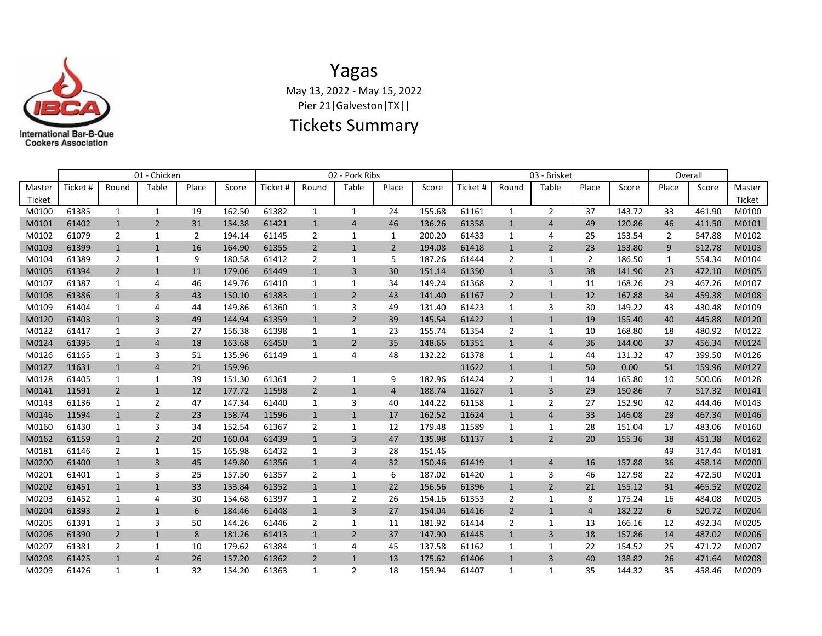

## Yagas May 13, 2022 - May 15, 2022 Pier 21|Galveston|TX||

## Tickets Summary

|                  | 01 - Chicken |                |                |       |        |          | 02 - Pork Ribs |                |                |        |          |                | 03 - Brisket   | Overall |        |                |        |                  |
|------------------|--------------|----------------|----------------|-------|--------|----------|----------------|----------------|----------------|--------|----------|----------------|----------------|---------|--------|----------------|--------|------------------|
| Master<br>Ticket | Ticket #     | Round          | Table          | Place | Score  | Ticket # | Round          | Table          | Place          | Score  | Ticket # | Round          | Table          | Place   | Score  | Place          | Score  | Master<br>Ticket |
| M0100            | 61385        | $\mathbf{1}$   | $\mathbf{1}$   | 19    | 162.50 | 61382    | 1              | $\mathbf{1}$   | 24             | 155.68 | 61161    | $\mathbf{1}$   | $\overline{2}$ | 37      | 143.72 | 33             | 461.90 | M0100            |
| M0101            | 61402        | $\mathbf{1}$   | $\overline{2}$ | 31    | 154.38 | 61421    | $\mathbf{1}$   | $\overline{4}$ | 46             | 136.26 | 61358    | $\mathbf{1}$   | $\overline{4}$ | 49      | 120.86 | 46             | 411.50 | M0101            |
| M0102            | 61079        | $\overline{2}$ | $\mathbf{1}$   | 2     | 194.14 | 61145    | 2              | $\mathbf{1}$   | 1              | 200.20 | 61433    | $\mathbf{1}$   | 4              | 25      | 153.54 | $\overline{2}$ | 547.88 | M0102            |
| M0103            | 61399        | $\mathbf{1}$   | $\mathbf{1}$   | 16    | 164.90 | 61355    | 2              | $\mathbf{1}$   | $\overline{2}$ | 194.08 | 61418    | $\mathbf{1}$   | 2              | 23      | 153.80 | 9              | 512.78 | M0103            |
| M0104            | 61389        | $\overline{2}$ | 1              | 9     | 180.58 | 61412    | 2              | 1              | 5              | 187.26 | 61444    | $\overline{2}$ | 1              | 2       | 186.50 | $\mathbf{1}$   | 554.34 | M0104            |
| M0105            | 61394        | $\overline{2}$ | $\mathbf{1}$   | 11    | 179.06 | 61449    | $\mathbf{1}$   | 3              | 30             | 151.14 | 61350    | $\mathbf{1}$   | 3              | 38      | 141.90 | 23             | 472.10 | M0105            |
| M0107            | 61387        | 1              | 4              | 46    | 149.76 | 61410    | 1              | 1              | 34             | 149.24 | 61368    | $\overline{2}$ | 1              | 11      | 168.26 | 29             | 467.26 | M0107            |
| M0108            | 61386        | $\mathbf{1}$   | $\overline{3}$ | 43    | 150.10 | 61383    | $\mathbf{1}$   | $\overline{2}$ | 43             | 141.40 | 61167    | $\overline{2}$ | $\mathbf{1}$   | 12      | 167.88 | 34             | 459.38 | M0108            |
| M0109            | 61404        | 1              | 4              | 44    | 149.86 | 61360    | 1              | 3              | 49             | 131.40 | 61423    | 1              | 3              | 30      | 149.22 | 43             | 430.48 | M0109            |
| M0120            | 61403        | $\mathbf{1}$   | 3              | 49    | 144.94 | 61359    | $\mathbf{1}$   | $\overline{2}$ | 39             | 145.54 | 61422    | $\mathbf{1}$   | $\mathbf{1}$   | 19      | 155.40 | 40             | 445.88 | M0120            |
| M0122            | 61417        | 1              | 3              | 27    | 156.38 | 61398    | 1              | 1              | 23             | 155.74 | 61354    | $\overline{2}$ | 1              | 10      | 168.80 | 18             | 480.92 | M0122            |
| M0124            | 61395        | $\mathbf{1}$   | $\overline{4}$ | 18    | 163.68 | 61450    | $\mathbf{1}$   | $\overline{2}$ | 35             | 148.66 | 61351    | $\mathbf{1}$   | 4              | 36      | 144.00 | 37             | 456.34 | M0124            |
| M0126            | 61165        | 1              | 3              | 51    | 135.96 | 61149    | 1              | 4              | 48             | 132.22 | 61378    | 1              | $\mathbf{1}$   | 44      | 131.32 | 47             | 399.50 | M0126            |
| M0127            | 11631        | $\mathbf{1}$   | $\overline{4}$ | 21    | 159.96 |          |                |                |                |        | 11622    | $\mathbf{1}$   | $\mathbf{1}$   | 50      | 0.00   | 51             | 159.96 | M0127            |
| M0128            | 61405        | 1              | $\mathbf{1}$   | 39    | 151.30 | 61361    | $\overline{2}$ | 1              | 9              | 182.96 | 61424    | $\overline{2}$ | 1              | 14      | 165.80 | 10             | 500.06 | M0128            |
| M0141            | 11591        | $\overline{2}$ | $\mathbf{1}$   | 12    | 177.72 | 11598    | $\overline{2}$ | $\mathbf{1}$   | $\overline{4}$ | 188.74 | 11627    | $\mathbf{1}$   | 3              | 29      | 150.86 | $7^{\circ}$    | 517.32 | M0141            |
| M0143            | 61136        | 1              | 2              | 47    | 147.34 | 61440    | 1              | 3              | 40             | 144.22 | 61158    | $\mathbf{1}$   | $\overline{2}$ | 27      | 152.90 | 42             | 444.46 | M0143            |
| M0146            | 11594        | $\mathbf{1}$   | $\overline{2}$ | 23    | 158.74 | 11596    | $\mathbf{1}$   | $\mathbf{1}$   | 17             | 162.52 | 11624    | $\mathbf{1}$   | 4              | 33      | 146.08 | 28             | 467.34 | M0146            |
| M0160            | 61430        | 1              | 3              | 34    | 152.54 | 61367    | 2              | 1              | 12             | 179.48 | 11589    | 1              | $\mathbf{1}$   | 28      | 151.04 | 17             | 483.06 | M0160            |
| M0162            | 61159        | $\mathbf{1}$   | $\overline{2}$ | 20    | 160.04 | 61439    | $\mathbf{1}$   | 3              | 47             | 135.98 | 61137    | $\mathbf{1}$   | $\overline{2}$ | 20      | 155.36 | 38             | 451.38 | M0162            |
| M0181            | 61146        | 2              | 1              | 15    | 165.98 | 61432    | 1              | 3              | 28             | 151.46 |          |                |                |         |        | 49             | 317.44 | M0181            |
| M0200            | 61400        | $\mathbf{1}$   | 3              | 45    | 149.80 | 61356    | $\mathbf{1}$   | $\overline{4}$ | 32             | 150.46 | 61419    | $\mathbf{1}$   | 4              | 16      | 157.88 | 36             | 458.14 | M0200            |
| M0201            | 61401        | 1              | 3              | 25    | 157.50 | 61357    | 2              | 1              | 6              | 187.02 | 61420    | 1              | 3              | 46      | 127.98 | 22             | 472.50 | M0201            |
| M0202            | 61451        | $\mathbf{1}$   | $\mathbf{1}$   | 33    | 153.84 | 61352    | $\mathbf{1}$   | $\mathbf{1}$   | 22             | 156.56 | 61396    | $\mathbf{1}$   | $\overline{2}$ | 21      | 155.12 | 31             | 465.52 | M0202            |
| M0203            | 61452        | 1              | 4              | 30    | 154.68 | 61397    | 1              | $\overline{2}$ | 26             | 154.16 | 61353    | $\overline{2}$ | $\mathbf{1}$   | 8       | 175.24 | 16             | 484.08 | M0203            |
| M0204            | 61393        | $\overline{2}$ | $\mathbf{1}$   | 6     | 184.46 | 61448    | $\mathbf{1}$   | $\overline{3}$ | 27             | 154.04 | 61416    | $\overline{2}$ | $\mathbf{1}$   | 4       | 182.22 | 6              | 520.72 | M0204            |
| M0205            | 61391        | 1              | 3              | 50    | 144.26 | 61446    | $\overline{2}$ | $\mathbf{1}$   | 11             | 181.92 | 61414    | $\overline{2}$ | 1              | 13      | 166.16 | 12             | 492.34 | M0205            |
| M0206            | 61390        | $\overline{2}$ | $\mathbf{1}$   | 8     | 181.26 | 61413    | $\mathbf{1}$   | $\overline{2}$ | 37             | 147.90 | 61445    | $\mathbf{1}$   | 3              | 18      | 157.86 | 14             | 487.02 | M0206            |
| M0207            | 61381        | $\overline{2}$ | 1              | 10    | 179.62 | 61384    | 1              | 4              | 45             | 137.58 | 61162    | 1              | 1              | 22      | 154.52 | 25             | 471.72 | M0207            |
| M0208            | 61425        | $\mathbf{1}$   | $\overline{4}$ | 26    | 157.20 | 61362    | $\overline{2}$ | $\mathbf{1}$   | 13             | 175.62 | 61406    | $\mathbf{1}$   | 3              | 40      | 138.82 | 26             | 471.64 | M0208            |
| M0209            | 61426        | 1              | 1              | 32    | 154.20 | 61363    | 1              | 2              | 18             | 159.94 | 61407    | 1              | $\mathbf{1}$   | 35      | 144.32 | 35             | 458.46 | M0209            |